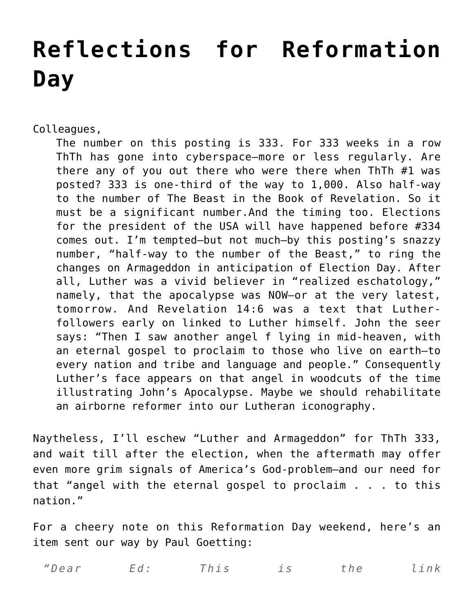## **[Reflections for Reformation](https://crossings.org/reflections-for-reformation-day/) [Day](https://crossings.org/reflections-for-reformation-day/)**

Colleagues,

The number on this posting is 333. For 333 weeks in a row ThTh has gone into cyberspace–more or less regularly. Are there any of you out there who were there when ThTh #1 was posted? 333 is one-third of the way to 1,000. Also half-way to the number of The Beast in the Book of Revelation. So it must be a significant number.And the timing too. Elections for the president of the USA will have happened before #334 comes out. I'm tempted–but not much–by this posting's snazzy number, "half-way to the number of the Beast," to ring the changes on Armageddon in anticipation of Election Day. After all, Luther was a vivid believer in "realized eschatology," namely, that the apocalypse was NOW–or at the very latest, tomorrow. And Revelation 14:6 was a text that Lutherfollowers early on linked to Luther himself. John the seer says: "Then I saw another angel f lying in mid-heaven, with an eternal gospel to proclaim to those who live on earth–to every nation and tribe and language and people." Consequently Luther's face appears on that angel in woodcuts of the time illustrating John's Apocalypse. Maybe we should rehabilitate an airborne reformer into our Lutheran iconography.

Naytheless, I'll eschew "Luther and Armageddon" for ThTh 333, and wait till after the election, when the aftermath may offer even more grim signals of America's God-problem–and our need for that "angel with the eternal gospel to proclaim . . . to this nation."

For a cheery note on this Reformation Day weekend, here's an item sent our way by Paul Goetting:

*"Dear Ed: This is the link*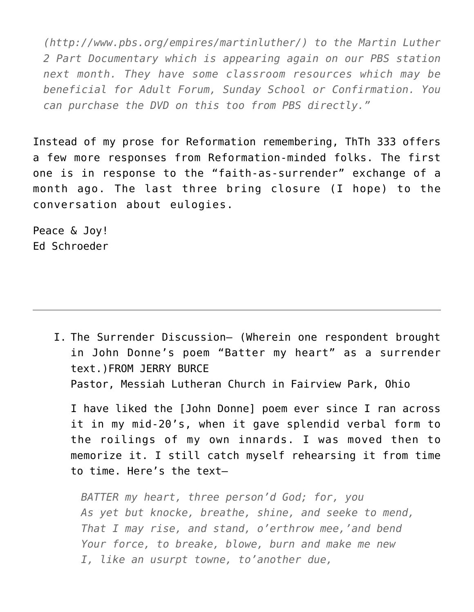*(http://www.pbs.org/empires/martinluther/) to the Martin Luther 2 Part Documentary which is appearing again on our PBS station next month. They have some classroom resources which may be beneficial for Adult Forum, Sunday School or Confirmation. You can purchase the DVD on this too from PBS directly."*

Instead of my prose for Reformation remembering, ThTh 333 offers a few more responses from Reformation-minded folks. The first one is in response to the "faith-as-surrender" exchange of a month ago. The last three bring closure (I hope) to the conversation about eulogies.

Peace & Joy! Ed Schroeder

> I. The Surrender Discussion– (Wherein one respondent brought in John Donne's poem "Batter my heart" as a surrender text.)FROM JERRY BURCE Pastor, Messiah Lutheran Church in Fairview Park, Ohio

I have liked the [John Donne] poem ever since I ran across it in my mid-20's, when it gave splendid verbal form to the roilings of my own innards. I was moved then to memorize it. I still catch myself rehearsing it from time to time. Here's the text–

*BATTER my heart, three person'd God; for, you As yet but knocke, breathe, shine, and seeke to mend, That I may rise, and stand, o'erthrow mee,'and bend Your force, to breake, blowe, burn and make me new I, like an usurpt towne, to'another due,*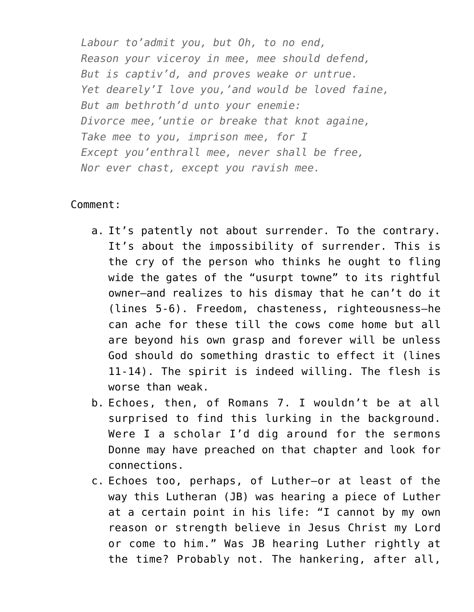*Labour to'admit you, but Oh, to no end, Reason your viceroy in mee, mee should defend, But is captiv'd, and proves weake or untrue. Yet dearely'I love you,'and would be loved faine, But am bethroth'd unto your enemie: Divorce mee,'untie or breake that knot againe, Take mee to you, imprison mee, for I Except you'enthrall mee, never shall be free, Nor ever chast, except you ravish mee.*

## Comment:

- a. It's patently not about surrender. To the contrary. It's about the impossibility of surrender. This is the cry of the person who thinks he ought to fling wide the gates of the "usurpt towne" to its rightful owner–and realizes to his dismay that he can't do it (lines 5-6). Freedom, chasteness, righteousness–he can ache for these till the cows come home but all are beyond his own grasp and forever will be unless God should do something drastic to effect it (lines 11-14). The spirit is indeed willing. The flesh is worse than weak.
- b. Echoes, then, of Romans 7. I wouldn't be at all surprised to find this lurking in the background. Were I a scholar I'd dig around for the sermons Donne may have preached on that chapter and look for connections.
- c. Echoes too, perhaps, of Luther–or at least of the way this Lutheran (JB) was hearing a piece of Luther at a certain point in his life: "I cannot by my own reason or strength believe in Jesus Christ my Lord or come to him." Was JB hearing Luther rightly at the time? Probably not. The hankering, after all,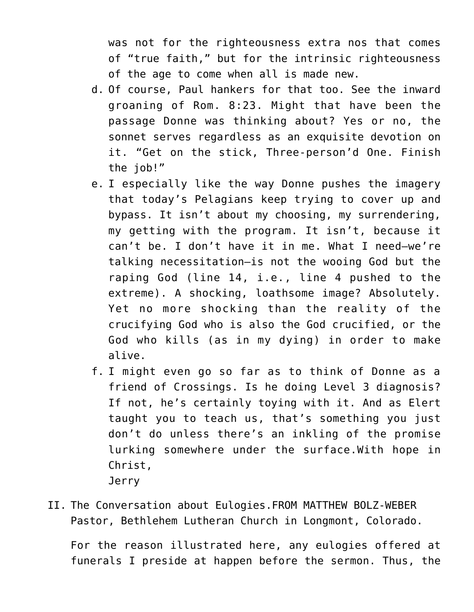was not for the righteousness extra nos that comes of "true faith," but for the intrinsic righteousness of the age to come when all is made new.

- d. Of course, Paul hankers for that too. See the inward groaning of Rom. 8:23. Might that have been the passage Donne was thinking about? Yes or no, the sonnet serves regardless as an exquisite devotion on it. "Get on the stick, Three-person'd One. Finish the job!"
- e. I especially like the way Donne pushes the imagery that today's Pelagians keep trying to cover up and bypass. It isn't about my choosing, my surrendering, my getting with the program. It isn't, because it can't be. I don't have it in me. What I need–we're talking necessitation–is not the wooing God but the raping God (line 14, i.e., line 4 pushed to the extreme). A shocking, loathsome image? Absolutely. Yet no more shocking than the reality of the crucifying God who is also the God crucified, or the God who kills (as in my dying) in order to make alive.
- f. I might even go so far as to think of Donne as a friend of Crossings. Is he doing Level 3 diagnosis? If not, he's certainly toying with it. And as Elert taught you to teach us, that's something you just don't do unless there's an inkling of the promise lurking somewhere under the surface.With hope in Christ, Jerry
- II. The Conversation about Eulogies.FROM MATTHEW BOLZ-WEBER Pastor, Bethlehem Lutheran Church in Longmont, Colorado.

For the reason illustrated here, any eulogies offered at funerals I preside at happen before the sermon. Thus, the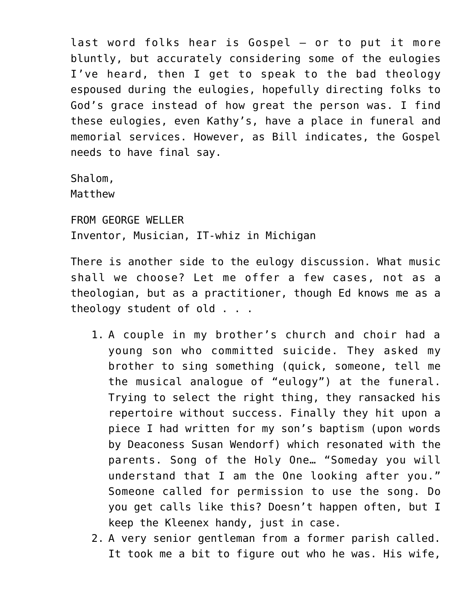last word folks hear is Gospel – or to put it more bluntly, but accurately considering some of the eulogies I've heard, then I get to speak to the bad theology espoused during the eulogies, hopefully directing folks to God's grace instead of how great the person was. I find these eulogies, even Kathy's, have a place in funeral and memorial services. However, as Bill indicates, the Gospel needs to have final say.

Shalom, Matthew

FROM GEORGE WELLER Inventor, Musician, IT-whiz in Michigan

There is another side to the eulogy discussion. What music shall we choose? Let me offer a few cases, not as a theologian, but as a practitioner, though Ed knows me as a theology student of old . . .

- 1. A couple in my brother's church and choir had a young son who committed suicide. They asked my brother to sing something (quick, someone, tell me the musical analogue of "eulogy") at the funeral. Trying to select the right thing, they ransacked his repertoire without success. Finally they hit upon a piece I had written for my son's baptism (upon words by Deaconess Susan Wendorf) which resonated with the parents. Song of the Holy One… "Someday you will understand that I am the One looking after you." Someone called for permission to use the song. Do you get calls like this? Doesn't happen often, but I keep the Kleenex handy, just in case.
- 2. A very senior gentleman from a former parish called. It took me a bit to figure out who he was. His wife,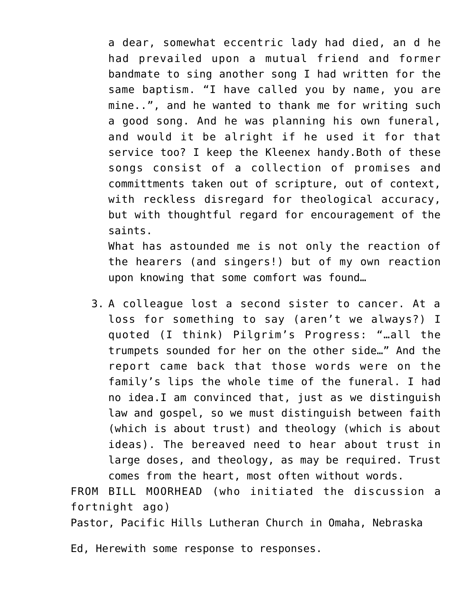a dear, somewhat eccentric lady had died, an d he had prevailed upon a mutual friend and former bandmate to sing another song I had written for the same baptism. "I have called you by name, you are mine..", and he wanted to thank me for writing such a good song. And he was planning his own funeral, and would it be alright if he used it for that service too? I keep the Kleenex handy.Both of these songs consist of a collection of promises and committments taken out of scripture, out of context, with reckless disregard for theological accuracy, but with thoughtful regard for encouragement of the saints.

What has astounded me is not only the reaction of the hearers (and singers!) but of my own reaction upon knowing that some comfort was found…

3. A colleague lost a second sister to cancer. At a loss for something to say (aren't we always?) I quoted (I think) Pilgrim's Progress: "…all the trumpets sounded for her on the other side…" And the report came back that those words were on the family's lips the whole time of the funeral. I had no idea.I am convinced that, just as we distinguish law and gospel, so we must distinguish between faith (which is about trust) and theology (which is about ideas). The bereaved need to hear about trust in large doses, and theology, as may be required. Trust comes from the heart, most often without words.

FROM BILL MOORHEAD (who initiated the discussion a fortnight ago)

Pastor, Pacific Hills Lutheran Church in Omaha, Nebraska

Ed, Herewith some response to responses.